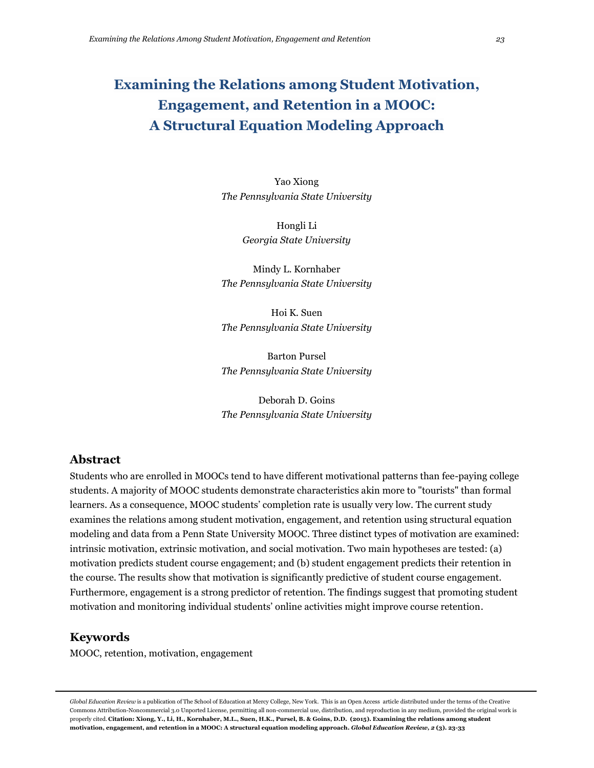# **Examining the Relations among Student Motivation, Engagement, and Retention in a MOOC: A Structural Equation Modeling Approach**

Yao Xiong *The Pennsylvania State University*

> Hongli Li *Georgia State University*

Mindy L. Kornhaber *The Pennsylvania State University*

Hoi K. Suen *The Pennsylvania State University*

Barton Pursel *The Pennsylvania State University*

Deborah D. Goins *The Pennsylvania State University*

# **Abstract**

Students who are enrolled in MOOCs tend to have different motivational patterns than fee-paying college students. A majority of MOOC students demonstrate characteristics akin more to "tourists" than formal learners. As a consequence, MOOC students' completion rate is usually very low. The current study examines the relations among student motivation, engagement, and retention using structural equation modeling and data from a Penn State University MOOC. Three distinct types of motivation are examined: intrinsic motivation, extrinsic motivation, and social motivation. Two main hypotheses are tested: (a) motivation predicts student course engagement; and (b) student engagement predicts their retention in the course. The results show that motivation is significantly predictive of student course engagement. Furthermore, engagement is a strong predictor of retention. The findings suggest that promoting student motivation and monitoring individual students' online activities might improve course retention.

# **Keywords**

MOOC, retention, motivation, engagement

*Global Education Review* is a publication of The School of Education at Mercy College, New York. This is an Open Access article distributed under the terms of the Creative Commons Attribution-Noncommercial 3.0 Unported License, permitting all non-commercial use, distribution, and reproduction in any medium, provided the original work is properly cited. **Citation: Xiong, Y., Li, H., Kornhaber, M.L., Suen, H.K., Pursel, B. & Goins, D.D. (2015). Examining the relations among student motivation, engagement, and retention in a MOOC: A structural equation modeling approach.** *Global Education Review, 2* **(3). 23-33**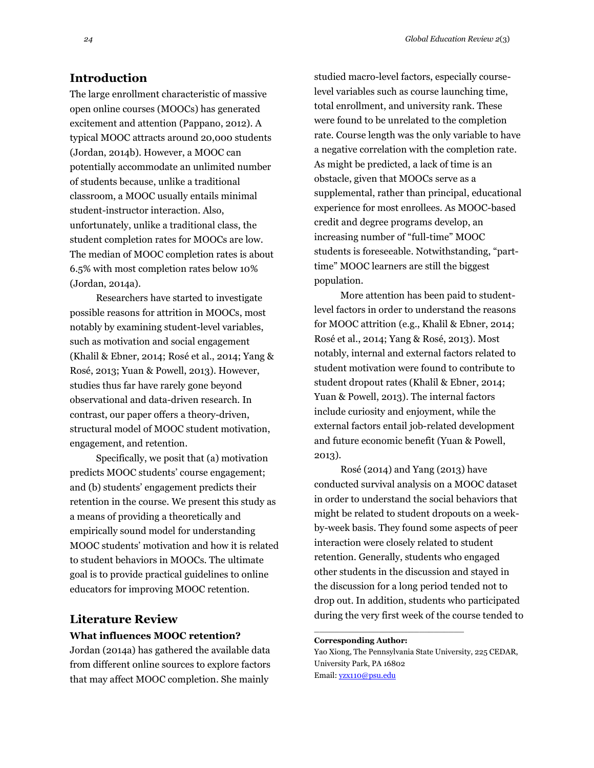## **Introduction**

The large enrollment characteristic of massive open online courses (MOOCs) has generated excitement and attention (Pappano, 2012). A typical MOOC attracts around 20,000 students (Jordan, 2014b). However, a MOOC can potentially accommodate an unlimited number of students because, unlike a traditional classroom, a MOOC usually entails minimal student-instructor interaction. Also, unfortunately, unlike a traditional class, the student completion rates for MOOCs are low. The median of MOOC completion rates is about 6.5% with most completion rates below 10% (Jordan, 2014a).

Researchers have started to investigate possible reasons for attrition in MOOCs, most notably by examining student-level variables, such as motivation and social engagement (Khalil & Ebner, 2014; Rosé et al., 2014; Yang & Rosé, 2013; Yuan & Powell, 2013). However, studies thus far have rarely gone beyond observational and data-driven research. In contrast, our paper offers a theory-driven, structural model of MOOC student motivation, engagement, and retention.

Specifically, we posit that (a) motivation predicts MOOC students' course engagement; and (b) students' engagement predicts their retention in the course. We present this study as a means of providing a theoretically and empirically sound model for understanding MOOC students' motivation and how it is related to student behaviors in MOOCs. The ultimate goal is to provide practical guidelines to online educators for improving MOOC retention.

### **Literature Review**

### **What influences MOOC retention?**

Jordan (2014a) has gathered the available data from different online sources to explore factors that may affect MOOC completion. She mainly

studied macro-level factors, especially courselevel variables such as course launching time, total enrollment, and university rank. These were found to be unrelated to the completion rate. Course length was the only variable to have a negative correlation with the completion rate. As might be predicted, a lack of time is an obstacle, given that MOOCs serve as a supplemental, rather than principal, educational experience for most enrollees. As MOOC-based credit and degree programs develop, an increasing number of "full-time" MOOC students is foreseeable. Notwithstanding, "parttime" MOOC learners are still the biggest population.

More attention has been paid to studentlevel factors in order to understand the reasons for MOOC attrition (e.g., Khalil & Ebner, 2014; Rosé et al., 2014; Yang & Rosé, 2013). Most notably, internal and external factors related to student motivation were found to contribute to student dropout rates (Khalil & Ebner, 2014; Yuan & Powell, 2013). The internal factors include curiosity and enjoyment, while the external factors entail job-related development and future economic benefit (Yuan & Powell, 2013).

Rosé (2014) and Yang (2013) have conducted survival analysis on a MOOC dataset in order to understand the social behaviors that might be related to student dropouts on a weekby-week basis. They found some aspects of peer interaction were closely related to student retention. Generally, students who engaged other students in the discussion and stayed in the discussion for a long period tended not to drop out. In addition, students who participated during the very first week of the course tended to

#### **Corresponding Author:**

\_\_\_\_\_\_\_\_\_\_\_\_\_\_\_\_\_\_\_\_\_\_\_\_\_\_\_\_\_\_

Yao Xiong, The Pennsylvania State University, 225 CEDAR, University Park, PA 16802 Email[: yzx110@psu.edu](mailto:yzx110@psu.edu)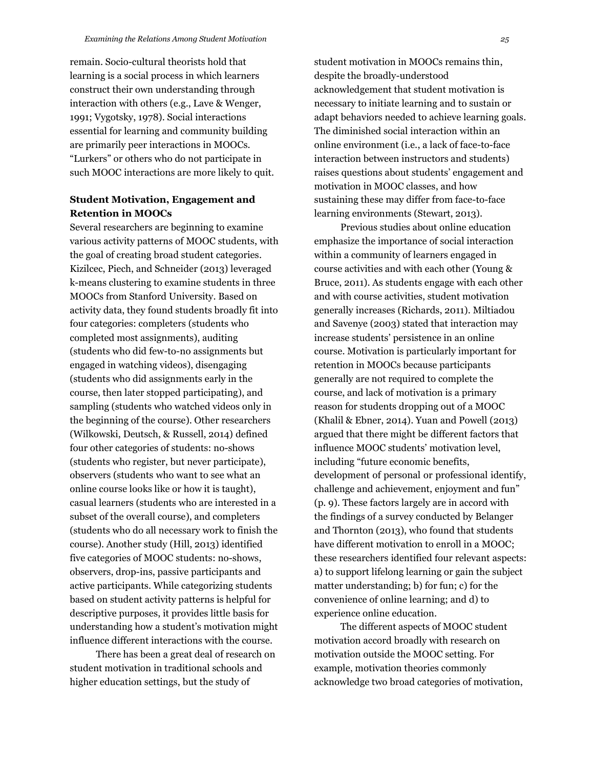remain. Socio-cultural theorists hold that learning is a social process in which learners construct their own understanding through interaction with others (e.g., Lave & Wenger, 1991; Vygotsky, 1978). Social interactions essential for learning and community building are primarily peer interactions in MOOCs. "Lurkers" or others who do not participate in such MOOC interactions are more likely to quit.

## **Student Motivation, Engagement and Retention in MOOCs**

Several researchers are beginning to examine various activity patterns of MOOC students, with the goal of creating broad student categories. Kizilcec, Piech, and Schneider (2013) leveraged k-means clustering to examine students in three MOOCs from Stanford University. Based on activity data, they found students broadly fit into four categories: completers (students who completed most assignments), auditing (students who did few-to-no assignments but engaged in watching videos), disengaging (students who did assignments early in the course, then later stopped participating), and sampling (students who watched videos only in the beginning of the course). Other researchers (Wilkowski, Deutsch, & Russell, 2014) defined four other categories of students: no-shows (students who register, but never participate), observers (students who want to see what an online course looks like or how it is taught), casual learners (students who are interested in a subset of the overall course), and completers (students who do all necessary work to finish the course). Another study (Hill, 2013) identified five categories of MOOC students: no-shows, observers, drop-ins, passive participants and active participants. While categorizing students based on student activity patterns is helpful for descriptive purposes, it provides little basis for understanding how a student's motivation might influence different interactions with the course.

There has been a great deal of research on student motivation in traditional schools and higher education settings, but the study of

student motivation in MOOCs remains thin, despite the broadly-understood acknowledgement that student motivation is necessary to initiate learning and to sustain or adapt behaviors needed to achieve learning goals. The diminished social interaction within an online environment (i.e., a lack of face-to-face interaction between instructors and students) raises questions about students' engagement and motivation in MOOC classes, and how sustaining these may differ from face-to-face learning environments (Stewart, 2013).

Previous studies about online education emphasize the importance of social interaction within a community of learners engaged in course activities and with each other (Young & Bruce, 2011). As students engage with each other and with course activities, student motivation generally increases (Richards, 2011). Miltiadou and Savenye (2003) stated that interaction may increase students' persistence in an online course. Motivation is particularly important for retention in MOOCs because participants generally are not required to complete the course, and lack of motivation is a primary reason for students dropping out of a MOOC (Khalil & Ebner, 2014). Yuan and Powell (2013) argued that there might be different factors that influence MOOC students' motivation level, including "future economic benefits, development of personal or professional identify, challenge and achievement, enjoyment and fun" (p. 9). These factors largely are in accord with the findings of a survey conducted by Belanger and Thornton (2013), who found that students have different motivation to enroll in a MOOC; these researchers identified four relevant aspects: a) to support lifelong learning or gain the subject matter understanding; b) for fun; c) for the convenience of online learning; and d) to experience online education.

The different aspects of MOOC student motivation accord broadly with research on motivation outside the MOOC setting. For example, motivation theories commonly acknowledge two broad categories of motivation,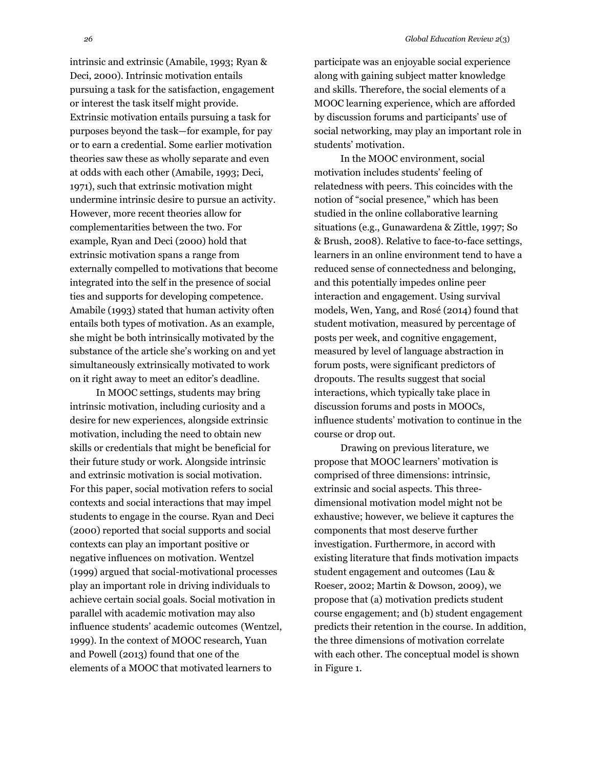intrinsic and extrinsic (Amabile, 1993; Ryan & Deci, 2000). Intrinsic motivation entails pursuing a task for the satisfaction, engagement or interest the task itself might provide. Extrinsic motivation entails pursuing a task for purposes beyond the task—for example, for pay or to earn a credential. Some earlier motivation theories saw these as wholly separate and even at odds with each other (Amabile, 1993; Deci, 1971), such that extrinsic motivation might undermine intrinsic desire to pursue an activity. However, more recent theories allow for complementarities between the two. For example, Ryan and Deci (2000) hold that extrinsic motivation spans a range from externally compelled to motivations that become integrated into the self in the presence of social ties and supports for developing competence. Amabile (1993) stated that human activity often entails both types of motivation. As an example, she might be both intrinsically motivated by the substance of the article she's working on and yet simultaneously extrinsically motivated to work on it right away to meet an editor's deadline.

In MOOC settings, students may bring intrinsic motivation, including curiosity and a desire for new experiences, alongside extrinsic motivation, including the need to obtain new skills or credentials that might be beneficial for their future study or work. Alongside intrinsic and extrinsic motivation is social motivation. For this paper, social motivation refers to social contexts and social interactions that may impel students to engage in the course. Ryan and Deci (2000) reported that social supports and social contexts can play an important positive or negative influences on motivation. Wentzel (1999) argued that social-motivational processes play an important role in driving individuals to achieve certain social goals. Social motivation in parallel with academic motivation may also influence students' academic outcomes (Wentzel, 1999). In the context of MOOC research, Yuan and Powell (2013) found that one of the elements of a MOOC that motivated learners to

participate was an enjoyable social experience along with gaining subject matter knowledge and skills. Therefore, the social elements of a MOOC learning experience, which are afforded by discussion forums and participants' use of social networking, may play an important role in students' motivation.

In the MOOC environment, social motivation includes students' feeling of relatedness with peers. This coincides with the notion of "social presence," which has been studied in the online collaborative learning situations (e.g., Gunawardena & Zittle, 1997; So & Brush, 2008). Relative to face-to-face settings, learners in an online environment tend to have a reduced sense of connectedness and belonging, and this potentially impedes online peer interaction and engagement. Using survival models, Wen, Yang, and Rosé (2014) found that student motivation, measured by percentage of posts per week, and cognitive engagement, measured by level of language abstraction in forum posts, were significant predictors of dropouts. The results suggest that social interactions, which typically take place in discussion forums and posts in MOOCs, influence students' motivation to continue in the course or drop out.

Drawing on previous literature, we propose that MOOC learners' motivation is comprised of three dimensions: intrinsic, extrinsic and social aspects. This threedimensional motivation model might not be exhaustive; however, we believe it captures the components that most deserve further investigation. Furthermore, in accord with existing literature that finds motivation impacts student engagement and outcomes (Lau & Roeser, 2002; Martin & Dowson, 2009), we propose that (a) motivation predicts student course engagement; and (b) student engagement predicts their retention in the course. In addition, the three dimensions of motivation correlate with each other. The conceptual model is shown in Figure 1.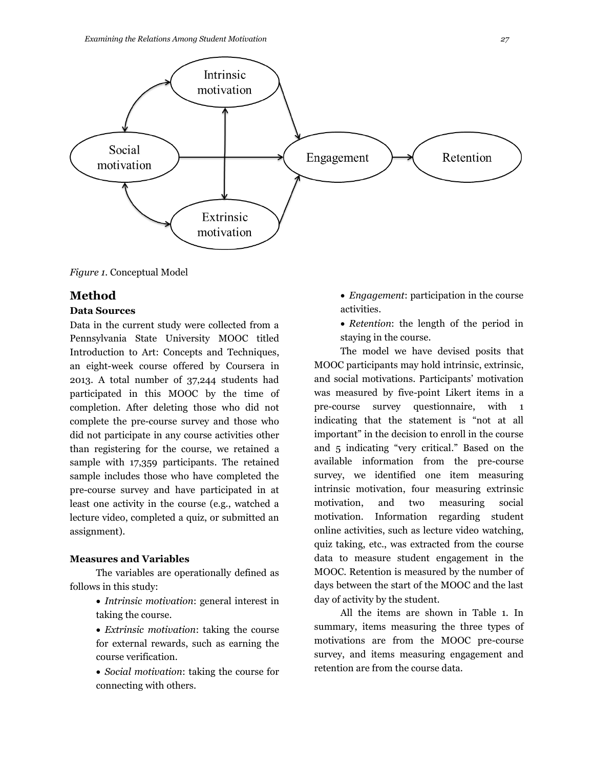

*Figure 1.* Conceptual Model

# **Method**

### **Data Sources**

Data in the current study were collected from a Pennsylvania State University MOOC titled Introduction to Art: Concepts and Techniques, an eight-week course offered by Coursera in 2013. A total number of 37,244 students had participated in this MOOC by the time of completion. After deleting those who did not complete the pre-course survey and those who did not participate in any course activities other than registering for the course, we retained a sample with 17,359 participants. The retained sample includes those who have completed the pre-course survey and have participated in at least one activity in the course (e.g., watched a lecture video, completed a quiz, or submitted an assignment).

#### **Measures and Variables**

The variables are operationally defined as follows in this study:

- *Intrinsic motivation*: general interest in taking the course.
- *Extrinsic motivation*: taking the course for external rewards, such as earning the course verification.
- *Social motivation*: taking the course for connecting with others.
- *Engagement*: participation in the course activities.
- *Retention*: the length of the period in staying in the course.

The model we have devised posits that MOOC participants may hold intrinsic, extrinsic, and social motivations. Participants' motivation was measured by five-point Likert items in a pre-course survey questionnaire, with 1 indicating that the statement is "not at all important" in the decision to enroll in the course and 5 indicating "very critical." Based on the available information from the pre-course survey, we identified one item measuring intrinsic motivation, four measuring extrinsic motivation, and two measuring social motivation. Information regarding student online activities, such as lecture video watching, quiz taking, etc., was extracted from the course data to measure student engagement in the MOOC. Retention is measured by the number of days between the start of the MOOC and the last day of activity by the student.

All the items are shown in Table 1. In summary, items measuring the three types of motivations are from the MOOC pre-course survey, and items measuring engagement and retention are from the course data.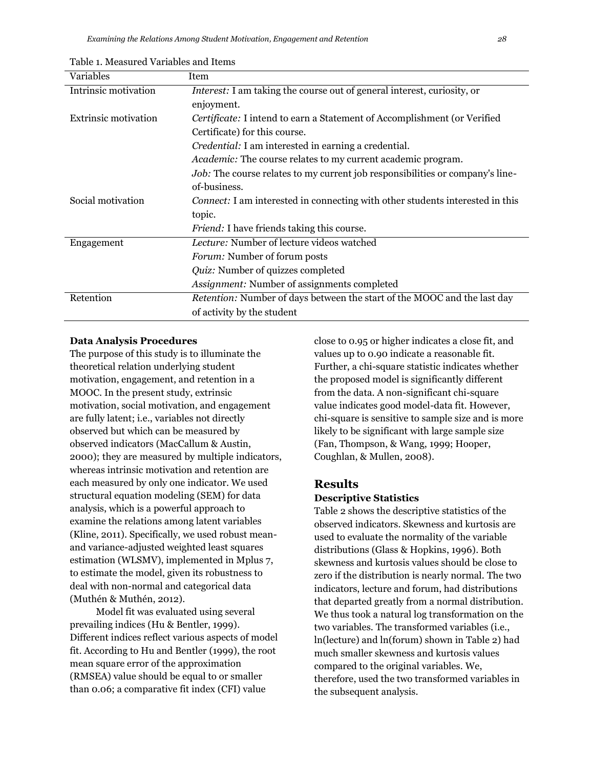| Table 1. Measured Variables and Items |  |  |  |
|---------------------------------------|--|--|--|
|---------------------------------------|--|--|--|

| Variables            | Item                                                                                 |  |  |  |  |
|----------------------|--------------------------------------------------------------------------------------|--|--|--|--|
| Intrinsic motivation | Interest: I am taking the course out of general interest, curiosity, or              |  |  |  |  |
|                      | enjoyment.                                                                           |  |  |  |  |
| Extrinsic motivation | Certificate: I intend to earn a Statement of Accomplishment (or Verified             |  |  |  |  |
|                      | Certificate) for this course.                                                        |  |  |  |  |
|                      | Credential: I am interested in earning a credential.                                 |  |  |  |  |
|                      | Academic: The course relates to my current academic program.                         |  |  |  |  |
|                      | Job: The course relates to my current job responsibilities or company's line-        |  |  |  |  |
|                      | of-business.                                                                         |  |  |  |  |
| Social motivation    | <i>Connect:</i> I am interested in connecting with other students interested in this |  |  |  |  |
|                      | topic.                                                                               |  |  |  |  |
|                      | <i>Friend:</i> I have friends taking this course.                                    |  |  |  |  |
| Engagement           | <i>Lecture:</i> Number of lecture videos watched                                     |  |  |  |  |
|                      | <i>Forum:</i> Number of forum posts                                                  |  |  |  |  |
|                      | Quiz: Number of quizzes completed                                                    |  |  |  |  |
|                      | Assignment: Number of assignments completed                                          |  |  |  |  |
| Retention            | Retention: Number of days between the start of the MOOC and the last day             |  |  |  |  |
|                      | of activity by the student                                                           |  |  |  |  |

#### **Data Analysis Procedures**

The purpose of this study is to illuminate the theoretical relation underlying student motivation, engagement, and retention in a MOOC. In the present study, extrinsic motivation, social motivation, and engagement are fully latent; i.e., variables not directly observed but which can be measured by observed indicators (MacCallum & Austin, 2000); they are measured by multiple indicators, whereas intrinsic motivation and retention are each measured by only one indicator. We used structural equation modeling (SEM) for data analysis, which is a powerful approach to examine the relations among latent variables (Kline, 2011). Specifically, we used robust meanand variance-adjusted weighted least squares estimation (WLSMV), implemented in Mplus 7, to estimate the model, given its robustness to deal with non-normal and categorical data (Muthén & Muthén, 2012).

Model fit was evaluated using several prevailing indices (Hu & Bentler, 1999). Different indices reflect various aspects of model fit. According to Hu and Bentler (1999), the root mean square error of the approximation (RMSEA) value should be equal to or smaller than 0.06; a comparative fit index (CFI) value

close to 0.95 or higher indicates a close fit, and values up to 0.90 indicate a reasonable fit. Further, a chi-square statistic indicates whether the proposed model is significantly different from the data. A non-significant chi-square value indicates good model-data fit. However, chi-square is sensitive to sample size and is more likely to be significant with large sample size (Fan, Thompson, & Wang, 1999; Hooper, Coughlan, & Mullen, 2008).

#### **Results**

#### **Descriptive Statistics**

Table 2 shows the descriptive statistics of the observed indicators. Skewness and kurtosis are used to evaluate the normality of the variable distributions (Glass & Hopkins, 1996). Both skewness and kurtosis values should be close to zero if the distribution is nearly normal. The two indicators, lecture and forum, had distributions that departed greatly from a normal distribution. We thus took a natural log transformation on the two variables. The transformed variables (i.e., ln(lecture) and ln(forum) shown in Table 2) had much smaller skewness and kurtosis values compared to the original variables. We, therefore, used the two transformed variables in the subsequent analysis.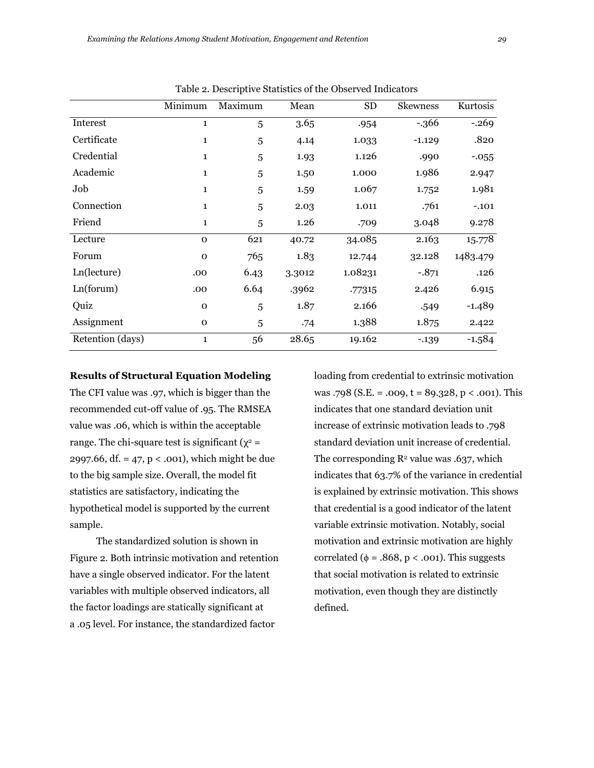|                  | Minimum      | Maximum | Mean   | <b>SD</b> | <b>Skewness</b> | Kurtosis |
|------------------|--------------|---------|--------|-----------|-----------------|----------|
| Interest         | $\mathbf{1}$ | 5       | 3.65   | .954      | $-366$          | $-.269$  |
| Certificate      | $\mathbf{1}$ | 5       | 4.14   | 1.033     | $-1.129$        | .820     |
| Credential       | $\mathbf{1}$ | 5       | 1.93   | 1.126     | .990            | $-0.055$ |
| Academic         | $\mathbf{1}$ | 5       | 1.50   | 1.000     | 1.986           | 2.947    |
| Job              | $\mathbf{1}$ | 5       | 1.59   | 1.067     | 1.752           | 1.981    |
| Connection       | $\mathbf{1}$ | 5       | 2.03   | 1.011     | .761            | $-.101$  |
| Friend           | $\mathbf{1}$ | 5       | 1.26   | .709      | 3.048           | 9.278    |
| Lecture          | $\Omega$     | 621     | 40.72  | 34.085    | 2.163           | 15.778   |
| Forum            | $\Omega$     | 765     | 1.83   | 12.744    | 32.128          | 1483.479 |
| Ln(lecture)      | .00          | 6.43    | 3.3012 | 1.08231   | $-.871$         | .126     |
| Ln(forum)        | .00          | 6.64    | .3962  | .77315    | 2.426           | 6.915    |
| Quiz             | $\mathbf{O}$ | 5       | 1.87   | 2.166     | .549            | $-1.489$ |
| Assignment       | $\mathbf 0$  | 5       | .74    | 1.388     | 1.875           | 2.422    |
| Retention (days) | $\mathbf{1}$ | 56      | 28.65  | 19.162    | $-139$          | $-1.584$ |

Table 2. Descriptive Statistics of the Observed Indicators

#### **Results of Structural Equation Modeling**

The CFI value was .97, which is bigger than the recommended cut-off value of .95. The RMSEA value was .06, which is within the acceptable range. The chi-square test is significant ( $\chi^2$  = 2997.66, df. = 47, p < .001), which might be due to the big sample size. Overall, the model fit statistics are satisfactory, indicating the hypothetical model is supported by the current sample.

The standardized solution is shown in Figure 2. Both intrinsic motivation and retention have a single observed indicator. For the latent variables with multiple observed indicators, all the factor loadings are statically significant at a .05 level. For instance, the standardized factor

loading from credential to extrinsic motivation was .798 (S.E. = .009,  $t = 89.328$ ,  $p < .001$ ). This indicates that one standard deviation unit increase of extrinsic motivation leads to .798 standard deviation unit increase of credential. The corresponding  $\mathbb{R}^2$  value was .637, which indicates that 63.7% of the variance in credential is explained by extrinsic motivation. This shows that credential is a good indicator of the latent variable extrinsic motivation. Notably, social motivation and extrinsic motivation are highly correlated ( $\phi = .868$ , p < .001). This suggests that social motivation is related to extrinsic motivation, even though they are distinctly defined.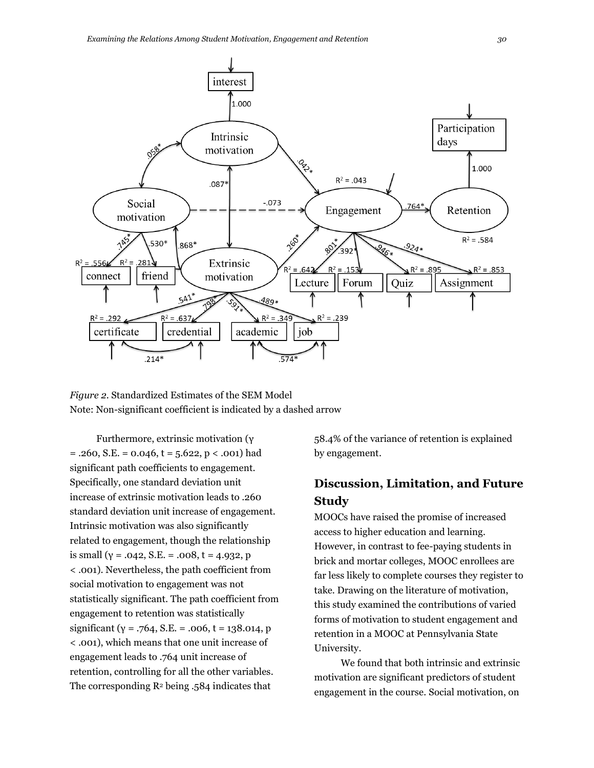

*Figure 2.* Standardized Estimates of the SEM Model Note: Non-significant coefficient is indicated by a dashed arrow

Furthermore, extrinsic motivation (γ  $= .260, S.E. = 0.046, t = 5.622, p < .001$ ) had significant path coefficients to engagement. Specifically, one standard deviation unit increase of extrinsic motivation leads to .260 standard deviation unit increase of engagement. Intrinsic motivation was also significantly related to engagement, though the relationship is small ( $y = .042$ , S.E. = .008, t = 4.932, p < .001). Nevertheless, the path coefficient from social motivation to engagement was not statistically significant. The path coefficient from engagement to retention was statistically significant ( $y = .764$ , S.E. = .006, t = 138.014, p < .001), which means that one unit increase of engagement leads to .764 unit increase of retention, controlling for all the other variables. The corresponding R<sup>2</sup> being .584 indicates that

58.4% of the variance of retention is explained by engagement.

# **Discussion, Limitation, and Future Study**

MOOCs have raised the promise of increased access to higher education and learning. However, in contrast to fee-paying students in brick and mortar colleges, MOOC enrollees are far less likely to complete courses they register to take. Drawing on the literature of motivation, this study examined the contributions of varied forms of motivation to student engagement and retention in a MOOC at Pennsylvania State University.

We found that both intrinsic and extrinsic motivation are significant predictors of student engagement in the course. Social motivation, on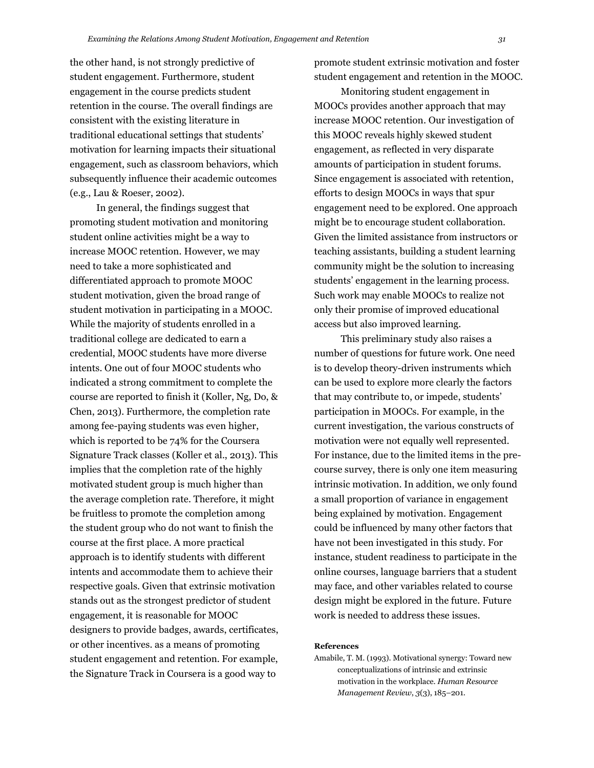the other hand, is not strongly predictive of student engagement. Furthermore, student engagement in the course predicts student retention in the course. The overall findings are consistent with the existing literature in traditional educational settings that students' motivation for learning impacts their situational engagement, such as classroom behaviors, which subsequently influence their academic outcomes (e.g., Lau & Roeser, 2002).

In general, the findings suggest that promoting student motivation and monitoring student online activities might be a way to increase MOOC retention. However, we may need to take a more sophisticated and differentiated approach to promote MOOC student motivation, given the broad range of student motivation in participating in a MOOC. While the majority of students enrolled in a traditional college are dedicated to earn a credential, MOOC students have more diverse intents. One out of four MOOC students who indicated a strong commitment to complete the course are reported to finish it (Koller, Ng, Do, & Chen, 2013). Furthermore, the completion rate among fee-paying students was even higher, which is reported to be 74% for the Coursera Signature Track classes (Koller et al., 2013). This implies that the completion rate of the highly motivated student group is much higher than the average completion rate. Therefore, it might be fruitless to promote the completion among the student group who do not want to finish the course at the first place. A more practical approach is to identify students with different intents and accommodate them to achieve their respective goals. Given that extrinsic motivation stands out as the strongest predictor of student engagement, it is reasonable for MOOC designers to provide badges, awards, certificates, or other incentives. as a means of promoting student engagement and retention. For example, the Signature Track in Coursera is a good way to

promote student extrinsic motivation and foster student engagement and retention in the MOOC.

Monitoring student engagement in MOOCs provides another approach that may increase MOOC retention. Our investigation of this MOOC reveals highly skewed student engagement, as reflected in very disparate amounts of participation in student forums. Since engagement is associated with retention, efforts to design MOOCs in ways that spur engagement need to be explored. One approach might be to encourage student collaboration. Given the limited assistance from instructors or teaching assistants, building a student learning community might be the solution to increasing students' engagement in the learning process. Such work may enable MOOCs to realize not only their promise of improved educational access but also improved learning.

This preliminary study also raises a number of questions for future work. One need is to develop theory-driven instruments which can be used to explore more clearly the factors that may contribute to, or impede, students' participation in MOOCs. For example, in the current investigation, the various constructs of motivation were not equally well represented. For instance, due to the limited items in the precourse survey, there is only one item measuring intrinsic motivation. In addition, we only found a small proportion of variance in engagement being explained by motivation. Engagement could be influenced by many other factors that have not been investigated in this study. For instance, student readiness to participate in the online courses, language barriers that a student may face, and other variables related to course design might be explored in the future. Future work is needed to address these issues.

#### **References**

Amabile, T. M. (1993). Motivational synergy: Toward new conceptualizations of intrinsic and extrinsic motivation in the workplace. *Human Resource Management Review*, *3*(3), 185–201.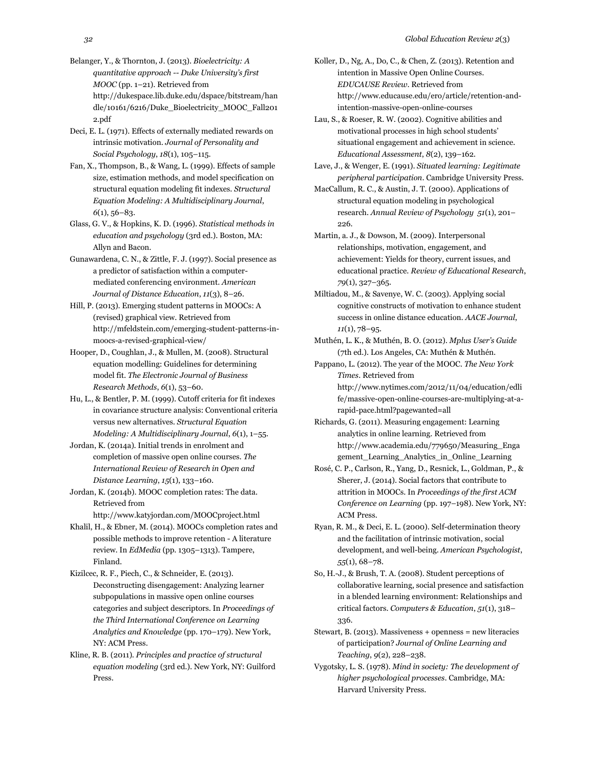Belanger, Y., & Thornton, J. (2013). *Bioelectricity: A quantitative approach -- Duke University's first MOOC* (pp. 1–21). Retrieved from http://dukespace.lib.duke.edu/dspace/bitstream/han dle/10161/6216/Duke\_Bioelectricity\_MOOC\_Fall201 2.pdf

Deci, E. L. (1971). Effects of externally mediated rewards on intrinsic motivation. *Journal of Personality and Social Psychology*, *18*(1), 105–115.

Fan, X., Thompson, B., & Wang, L. (1999). Effects of sample size, estimation methods, and model specification on structural equation modeling fit indexes. *Structural Equation Modeling: A Multidisciplinary Journal*, *6*(1), 56–83.

Glass, G. V., & Hopkins, K. D. (1996). *Statistical methods in education and psychology* (3rd ed.). Boston, MA: Allyn and Bacon.

Gunawardena, C. N., & Zittle, F. J. (1997). Social presence as a predictor of satisfaction within a computermediated conferencing environment. *American Journal of Distance Education*, *11*(3), 8–26.

Hill, P. (2013). Emerging student patterns in MOOCs: A (revised) graphical view. Retrieved from http://mfeldstein.com/emerging-student-patterns-inmoocs-a-revised-graphical-view/

Hooper, D., Coughlan, J., & Mullen, M. (2008). Structural equation modelling: Guidelines for determining model fit. *The Electronic Journal of Business Research Methods*, *6*(1), 53–60.

Hu, L., & Bentler, P. M. (1999). Cutoff criteria for fit indexes in covariance structure analysis: Conventional criteria versus new alternatives. *Structural Equation Modeling: A Multidisciplinary Journal*, *6*(1), 1–55.

Jordan, K. (2014a). Initial trends in enrolment and completion of massive open online courses. *The International Review of Research in Open and Distance Learning*, *15*(1), 133–160.

Jordan, K. (2014b). MOOC completion rates: The data. Retrieved from

http://www.katyjordan.com/MOOCproject.html

Khalil, H., & Ebner, M. (2014). MOOCs completion rates and possible methods to improve retention - A literature review. In *EdMedia* (pp. 1305–1313). Tampere, Finland.

Kizilcec, R. F., Piech, C., & Schneider, E. (2013). Deconstructing disengagement: Analyzing learner subpopulations in massive open online courses categories and subject descriptors. In *Proceedings of the Third International Conference on Learning Analytics and Knowledge* (pp. 170–179). New York, NY: ACM Press.

Kline, R. B. (2011). *Principles and practice of structural equation modeling* (3rd ed.). New York, NY: Guilford Press.

Koller, D., Ng, A., Do, C., & Chen, Z. (2013). Retention and intention in Massive Open Online Courses. *EDUCAUSE Review*. Retrieved from http://www.educause.edu/ero/article/retention-andintention-massive-open-online-courses

Lau, S., & Roeser, R. W. (2002). Cognitive abilities and motivational processes in high school students' situational engagement and achievement in science. *Educational Assessment*, *8*(2), 139–162.

Lave, J., & Wenger, E. (1991). *Situated learning: Legitimate peripheral participation*. Cambridge University Press.

MacCallum, R. C., & Austin, J. T. (2000). Applications of structural equation modeling in psychological research. *Annual Review of Psychology 51*(1), 201– 226.

Martin, a. J., & Dowson, M. (2009). Interpersonal relationships, motivation, engagement, and achievement: Yields for theory, current issues, and educational practice. *Review of Educational Research*, *79*(1), 327–365.

Miltiadou, M., & Savenye, W. C. (2003). Applying social cognitive constructs of motivation to enhance student success in online distance education. *AACE Journal*, *11*(1), 78–95.

Muthén, L. K., & Muthén, B. O. (2012). *Mplus User's Guide* (7th ed.). Los Angeles, CA: Muthén & Muthén.

Pappano, L. (2012). The year of the MOOC. *The New York Times*. Retrieved from http://www.nytimes.com/2012/11/04/education/edli fe/massive-open-online-courses-are-multiplying-at-arapid-pace.html?pagewanted=all

Richards, G. (2011). Measuring engagement: Learning analytics in online learning. Retrieved from http://www.academia.edu/779650/Measuring\_Enga gement\_Learning\_Analytics\_in\_Online\_Learning

- Rosé, C. P., Carlson, R., Yang, D., Resnick, L., Goldman, P., & Sherer, J. (2014). Social factors that contribute to attrition in MOOCs. In *Proceedings of the first ACM Conference on Learning* (pp. 197–198). New York, NY: ACM Press.
- Ryan, R. M., & Deci, E. L. (2000). Self-determination theory and the facilitation of intrinsic motivation, social development, and well-being. *American Psychologist*, *55*(1), 68–78.

So, H.-J., & Brush, T. A. (2008). Student perceptions of collaborative learning, social presence and satisfaction in a blended learning environment: Relationships and critical factors. *Computers & Education*, *51*(1), 318– 336.

Stewart, B. (2013). Massiveness + openness = new literacies of participation? *Journal of Online Learning and Teaching*, *9*(2), 228–238.

Vygotsky, L. S. (1978). *Mind in society: The development of higher psychological processes*. Cambridge, MA: Harvard University Press.